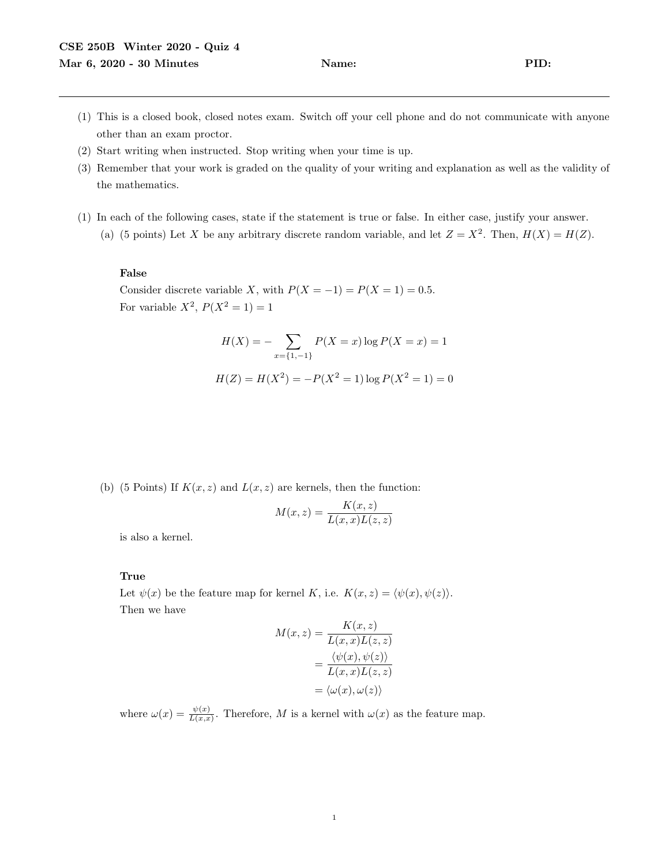- (1) This is a closed book, closed notes exam. Switch off your cell phone and do not communicate with anyone other than an exam proctor.
- (2) Start writing when instructed. Stop writing when your time is up.
- (3) Remember that your work is graded on the quality of your writing and explanation as well as the validity of the mathematics.
- (1) In each of the following cases, state if the statement is true or false. In either case, justify your answer.
	- (a) (5 points) Let X be any arbitrary discrete random variable, and let  $Z = X^2$ . Then,  $H(X) = H(Z)$ .

## False

Consider discrete variable X, with  $P(X = -1) = P(X = 1) = 0.5$ . For variable  $X^2$ ,  $P(X^2 = 1) = 1$ 

$$
H(X) = -\sum_{x=\{1,-1\}} P(X=x) \log P(X=x) = 1
$$
  

$$
H(Z) = H(X^{2}) = -P(X^{2} = 1) \log P(X^{2} = 1) = 0
$$

(b) (5 Points) If  $K(x, z)$  and  $L(x, z)$  are kernels, then the function:

$$
M(x, z) = \frac{K(x, z)}{L(x, x)L(z, z)}
$$

is also a kernel.

## True

Let  $\psi(x)$  be the feature map for kernel K, i.e.  $K(x, z) = \langle \psi(x), \psi(z) \rangle$ . Then we have

$$
M(x, z) = \frac{K(x, z)}{L(x, x)L(z, z)}
$$
  
= 
$$
\frac{\langle \psi(x), \psi(z) \rangle}{L(x, x)L(z, z)}
$$
  
= 
$$
\langle \omega(x), \omega(z) \rangle
$$

where  $\omega(x) = \frac{\psi(x)}{L(x,x)}$ . Therefore, M is a kernel with  $\omega(x)$  as the feature map.